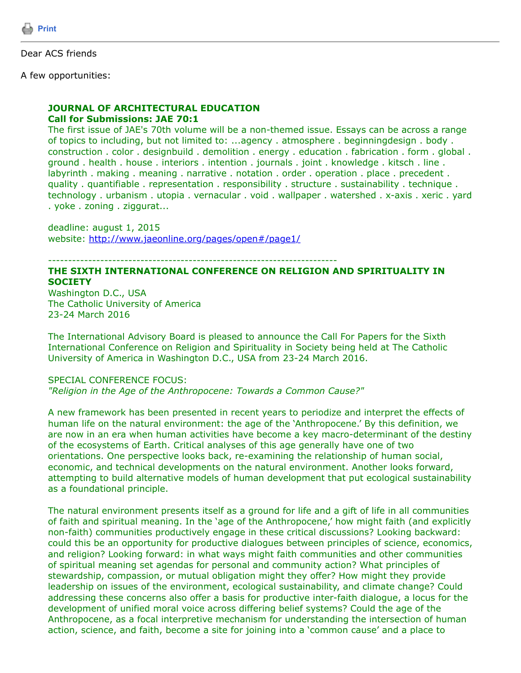

Dear ACS friends

A few opportunities:

### **JOURNAL OF ARCHITECTURAL EDUCATION Call for Submissions: JAE 70:1**

The first issue of JAE's 70th volume will be a non-themed issue. Essays can be across a range of topics to including, but not limited to: ...agency . atmosphere . beginningdesign . body . construction . color . designbuild . demolition . energy . education . fabrication . form . global . ground . health . house . interiors . intention . journals . joint . knowledge . kitsch . line . labyrinth . making . meaning . narrative . notation . order . operation . place . precedent . quality . quantifiable . representation . responsibility . structure . sustainability . technique . technology . urbanism . utopia . vernacular . void . wallpaper . watershed . x-axis . xeric . yard . yoke . zoning . ziggurat...

deadline: august 1, 2015 website: [http://www.jaeonline.org/pages/open#/page1/](http://www.jaeonline.org/pages/open%23/page1/)

------------------------------------------------------------------------

# **THE SIXTH INTERNATIONAL CONFERENCE ON RELIGION AND SPIRITUALITY IN SOCIETY**

Washington D.C., USA The Catholic University of America 23-24 March 2016

The International Advisory Board is pleased to announce the Call For Papers for the Sixth International Conference on Religion and Spirituality in Society being held at The Catholic University of America in Washington D.C., USA from 23-24 March 2016.

# SPECIAL CONFERENCE FOCUS:

*"Religion in the Age of the Anthropocene: Towards a Common Cause?"*

A new framework has been presented in recent years to periodize and interpret the effects of human life on the natural environment: the age of the 'Anthropocene.' By this definition, we are now in an era when human activities have become a key macro-determinant of the destiny of the ecosystems of Earth. Critical analyses of this age generally have one of two orientations. One perspective looks back, re-examining the relationship of human social, economic, and technical developments on the natural environment. Another looks forward, attempting to build alternative models of human development that put ecological sustainability as a foundational principle.

The natural environment presents itself as a ground for life and a gift of life in all communities of faith and spiritual meaning. In the 'age of the Anthropocene,' how might faith (and explicitly non-faith) communities productively engage in these critical discussions? Looking backward: could this be an opportunity for productive dialogues between principles of science, economics, and religion? Looking forward: in what ways might faith communities and other communities of spiritual meaning set agendas for personal and community action? What principles of stewardship, compassion, or mutual obligation might they offer? How might they provide leadership on issues of the environment, ecological sustainability, and climate change? Could addressing these concerns also offer a basis for productive inter-faith dialogue, a locus for the development of unified moral voice across differing belief systems? Could the age of the Anthropocene, as a focal interpretive mechanism for understanding the intersection of human action, science, and faith, become a site for joining into a 'common cause' and a place to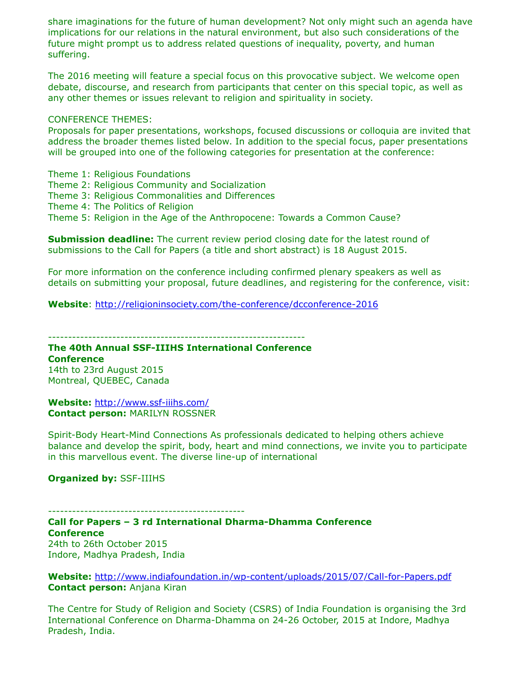share imaginations for the future of human development? Not only might such an agenda have implications for our relations in the natural environment, but also such considerations of the future might prompt us to address related questions of inequality, poverty, and human suffering.

The 2016 meeting will feature a special focus on this provocative subject. We welcome open debate, discourse, and research from participants that center on this special topic, as well as any other themes or issues relevant to religion and spirituality in society.

#### CONFERENCE THEMES:

Proposals for paper presentations, workshops, focused discussions or colloquia are invited that address the broader themes listed below. In addition to the special focus, paper presentations will be grouped into one of the following categories for presentation at the conference:

- Theme 1: Religious Foundations
- Theme 2: Religious Community and Socialization
- Theme 3: Religious Commonalities and Differences
- Theme 4: The Politics of Religion
- Theme 5: Religion in the Age of the Anthropocene: Towards a Common Cause?

**Submission deadline:** The current review period closing date for the latest round of submissions to the Call for Papers (a title and short abstract) is 18 August 2015.

For more information on the conference including confirmed plenary speakers as well as details on submitting your proposal, future deadlines, and registering for the conference, visit:

**Website**:<http://religioninsociety.com/the-conference/dcconference-2016>

----------------------------------------------------------------

# **The 40th Annual SSF-IIIHS International Conference**

**Conference** 14th to 23rd August 2015 Montreal, QUEBEC, Canada

**Website:** <http://www.ssf-iiihs.com/> **Contact person:** MARILYN ROSSNER

Spirit-Body Heart-Mind Connections As professionals dedicated to helping others achieve balance and develop the spirit, body, heart and mind connections, we invite you to participate in this marvellous event. The diverse line-up of international

## **Organized by:** SSF-IIIHS

-------------------------------------------------

**Call for Papers – 3 rd International Dharma-Dhamma Conference Conference** 24th to 26th October 2015 Indore, Madhya Pradesh, India

**Website:** <http://www.indiafoundation.in/wp-content/uploads/2015/07/Call-for-Papers.pdf> **Contact person:** Anjana Kiran

The Centre for Study of Religion and Society (CSRS) of India Foundation is organising the 3rd International Conference on Dharma-Dhamma on 24-26 October, 2015 at Indore, Madhya Pradesh, India.